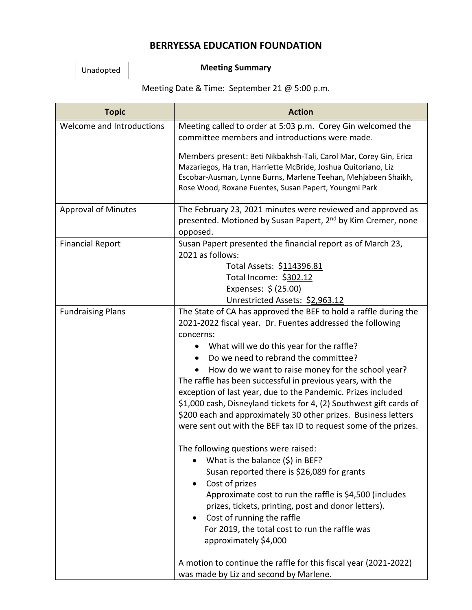## **BERRYESSA EDUCATION FOUNDATION**

## Unadopted

## **Meeting Summary**

Meeting Date & Time: September 21 @ 5:00 p.m.

| <b>Topic</b>               | <b>Action</b>                                                                                                                                                                                                                                                                                                                                                                                                                                                                                                                                                                                                                                                                                                                                                        |
|----------------------------|----------------------------------------------------------------------------------------------------------------------------------------------------------------------------------------------------------------------------------------------------------------------------------------------------------------------------------------------------------------------------------------------------------------------------------------------------------------------------------------------------------------------------------------------------------------------------------------------------------------------------------------------------------------------------------------------------------------------------------------------------------------------|
| Welcome and Introductions  | Meeting called to order at 5:03 p.m. Corey Gin welcomed the<br>committee members and introductions were made.                                                                                                                                                                                                                                                                                                                                                                                                                                                                                                                                                                                                                                                        |
|                            | Members present: Beti Nikbakhsh-Tali, Carol Mar, Corey Gin, Erica<br>Mazariegos, Ha tran, Harriette McBride, Joshua Quitoriano, Liz<br>Escobar-Ausman, Lynne Burns, Marlene Teehan, Mehjabeen Shaikh,<br>Rose Wood, Roxane Fuentes, Susan Papert, Youngmi Park                                                                                                                                                                                                                                                                                                                                                                                                                                                                                                       |
|                            |                                                                                                                                                                                                                                                                                                                                                                                                                                                                                                                                                                                                                                                                                                                                                                      |
| <b>Approval of Minutes</b> | The February 23, 2021 minutes were reviewed and approved as<br>presented. Motioned by Susan Papert, 2 <sup>nd</sup> by Kim Cremer, none<br>opposed.                                                                                                                                                                                                                                                                                                                                                                                                                                                                                                                                                                                                                  |
| <b>Financial Report</b>    | Susan Papert presented the financial report as of March 23,<br>2021 as follows:                                                                                                                                                                                                                                                                                                                                                                                                                                                                                                                                                                                                                                                                                      |
|                            | Total Assets: \$114396.81                                                                                                                                                                                                                                                                                                                                                                                                                                                                                                                                                                                                                                                                                                                                            |
|                            | Total Income: \$302.12                                                                                                                                                                                                                                                                                                                                                                                                                                                                                                                                                                                                                                                                                                                                               |
|                            | Expenses: \$ (25.00)                                                                                                                                                                                                                                                                                                                                                                                                                                                                                                                                                                                                                                                                                                                                                 |
|                            | Unrestricted Assets: \$2,963.12                                                                                                                                                                                                                                                                                                                                                                                                                                                                                                                                                                                                                                                                                                                                      |
| <b>Fundraising Plans</b>   | The State of CA has approved the BEF to hold a raffle during the<br>2021-2022 fiscal year. Dr. Fuentes addressed the following<br>concerns:<br>What will we do this year for the raffle?<br>٠<br>Do we need to rebrand the committee?<br>How do we want to raise money for the school year?<br>The raffle has been successful in previous years, with the<br>exception of last year, due to the Pandemic. Prizes included<br>\$1,000 cash, Disneyland tickets for 4, (2) Southwest gift cards of<br>\$200 each and approximately 30 other prizes. Business letters<br>were sent out with the BEF tax ID to request some of the prizes.<br>The following questions were raised:<br>What is the balance $(\xi)$ in BEF?<br>Susan reported there is \$26,089 for grants |
|                            | Cost of prizes<br>Approximate cost to run the raffle is \$4,500 (includes<br>prizes, tickets, printing, post and donor letters).<br>Cost of running the raffle<br>For 2019, the total cost to run the raffle was<br>approximately \$4,000<br>A motion to continue the raffle for this fiscal year (2021-2022)<br>was made by Liz and second by Marlene.                                                                                                                                                                                                                                                                                                                                                                                                              |